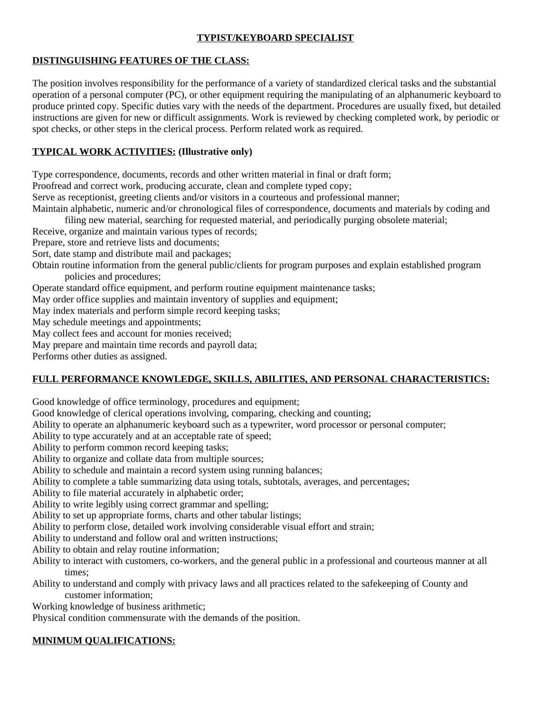### **TYPIST/KEYBOARD SPECIALIST**

#### **DISTINGUISHING FEATURES OF THE CLASS:**

The position involves responsibility for the performance of a variety of standardized clerical tasks and the substantial operation of a personal computer (PC), or other equipment requiring the manipulating of an alphanumeric keyboard to produce printed copy. Specific duties vary with the needs of the department. Procedures are usually fixed, but detailed instructions are given for new or difficult assignments. Work is reviewed by checking completed work, by periodic or spot checks, or other steps in the clerical process. Perform related work as required.

## **TYPICAL WORK ACTIVITIES: (Illustrative only)**

Type correspondence, documents, records and other written material in final or draft form;

Proofread and correct work, producing accurate, clean and complete typed copy;

Serve as receptionist, greeting clients and/or visitors in a courteous and professional manner;

Maintain alphabetic, numeric and/or chronological files of correspondence, documents and materials by coding and filing new material, searching for requested material, and periodically purging obsolete material;

Receive, organize and maintain various types of records;

Prepare, store and retrieve lists and documents;

Sort, date stamp and distribute mail and packages;

- Obtain routine information from the general public/clients for program purposes and explain established program policies and procedures;
- Operate standard office equipment, and perform routine equipment maintenance tasks;

May order office supplies and maintain inventory of supplies and equipment;

May index materials and perform simple record keeping tasks;

May schedule meetings and appointments;

May collect fees and account for monies received;

May prepare and maintain time records and payroll data;

Performs other duties as assigned.

# **FULL PERFORMANCE KNOWLEDGE, SKILLS, ABILITIES, AND PERSONAL CHARACTERISTICS:**

Good knowledge of office terminology, procedures and equipment;

Good knowledge of clerical operations involving, comparing, checking and counting;

Ability to operate an alphanumeric keyboard such as a typewriter, word processor or personal computer;

Ability to type accurately and at an acceptable rate of speed;

Ability to perform common record keeping tasks;

Ability to organize and collate data from multiple sources;

Ability to schedule and maintain a record system using running balances;

Ability to complete a table summarizing data using totals, subtotals, averages, and percentages;

Ability to file material accurately in alphabetic order;

Ability to write legibly using correct grammar and spelling;

Ability to set up appropriate forms, charts and other tabular listings;

Ability to perform close, detailed work involving considerable visual effort and strain;

Ability to understand and follow oral and written instructions;

Ability to obtain and relay routine information;

Ability to interact with customers, co-workers, and the general public in a professional and courteous manner at all times;

Ability to understand and comply with privacy laws and all practices related to the safekeeping of County and customer information;

Working knowledge of business arithmetic;

Physical condition commensurate with the demands of the position.

# **MINIMUM QUALIFICATIONS:**